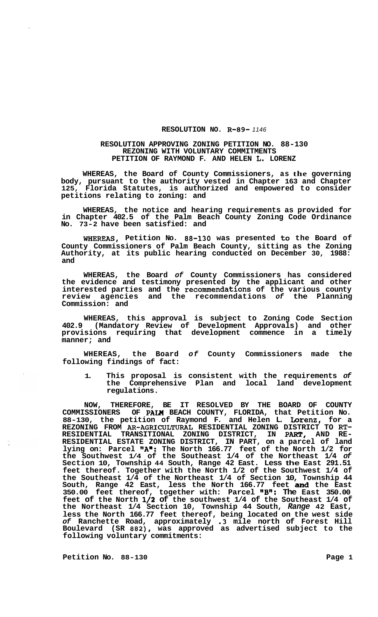## **RESOLUTION NO. R-89-** *1146*

## **RESOLUTION APPROVING ZONING PETITION NO. 88-130 PETITION OF RAYMOND F. AND HELEN L. LORENZ REZONING WITH VOLUNTARY COMMITMENTS**

**WHEREAS, the Board of County Commissioners, as the governing body, pursuant to the authority vested in Chapter 163 and Chapter 125, Florida Statutes, is authorized and empowered to consider petitions relating to zoning: and** 

**WHEREAS, the notice and hearing requirements as provided for in Chapter 402.5 of the Palm Beach County Zoning Code Ordinance No. 73-2 have been satisfied: and** 

**WHEREAS, Petition No. 88-130 was presented to the Board of County Commissioners of Palm Beach County, sitting as the Zoning Authority, at its public hearing conducted on December 30, 1988: and** 

**WHEREAS, the Board** *of* **County Commissioners has considered the evidence and testimony presented by the applicant and other interested parties and the recommendations of the various county review agencies and the recommendations** *of* **the Planning Commission: and** 

**WHEREAS, this approval is subject to Zoning Code Section 402.9 (Mandatory Review of Development Approvals) and other provisions requiring that development commence in a timely manner; and** 

**WHEREAS, the Board** *of* **County Commissioners made the following findings of fact:** 

**1. This proposal is consistent with the requirements** *of*  **the Comprehensive Plan and local land development regulations.** 

**NOW, THEREFORE, BE IT RESOLVED BY THE BOARD OF COUNTY COMMISSIONERS OF PALW BEACH COUNTY, FLORIDA, that Petition No. 88-130, the petition of Raymond F. and Helen L. Lorenz, for a REZONING FROM AR-AGRICULTURAL RESIDENTIAL ZONING DISTRICT TO RT-RESIDENTIAL TRANSITIONAL ZONING DISTRICT, IN PART, AND RE- RESIDENTIAL ESTATE ZONING DISTRICT, IN PART, on a parcel of land**  lying on: Parcel **"A":** The North 166.77 feet of the North 1/2 for **the Southwest 1/4 of the Southeast 1/4 of the Northeast 1/4** *of*  **Section 10, Township 44 South, Range 42 East. Less the East 291.51 feet thereof. Together with the North 1/2 of the Southwest 1/4 of the Southeast 1/4 of the Northeast 1/4 of Section 10, Township 44 South, Range 42 East, less the North 166.77 feet and the East 350.00 feet thereof, together with: Parcel lIB1u: The East 350.00 feet of the North l/2 of the southwest 1/4 of the Southeast 1/4 of the Northeast 1/4 Section 10, Township 44 South,** *Range* **42 East, less the North 166.77 feet thereof, being located on the west side**  *of* **Ranchette Road, approximately .3 mile north of Forest Hill Boulevard (SR 882), was approved as advertised subject to the following voluntary commitments:** 

**Petition No.** 88-130 **Page 1**